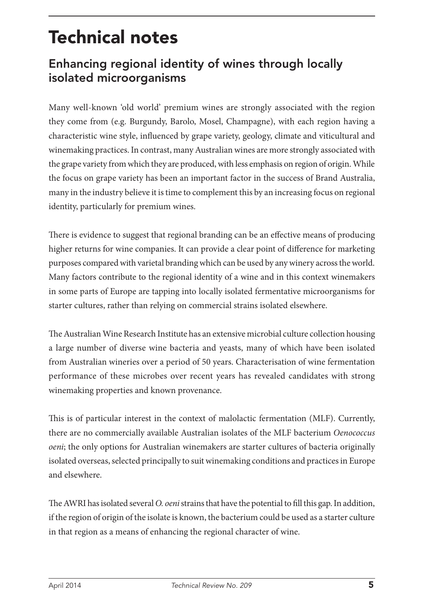## Technical notes

## Enhancing regional identity of wines through locally isolated microorganisms

Many well-known 'old world' premium wines are strongly associated with the region they come from (e.g. Burgundy, Barolo, Mosel, Champagne), with each region having a characteristic wine style, influenced by grape variety, geology, climate and viticultural and winemaking practices. In contrast, many Australian wines are more strongly associated with the grape variety from which they are produced, with less emphasis on region of origin. While the focus on grape variety has been an important factor in the success of Brand Australia, many in the industry believe it is time to complement this by an increasing focus on regional identity, particularly for premium wines.

There is evidence to suggest that regional branding can be an effective means of producing higher returns for wine companies. It can provide a clear point of difference for marketing purposes compared with varietal branding which can be used by any winery across the world. Many factors contribute to the regional identity of a wine and in this context winemakers in some parts of Europe are tapping into locally isolated fermentative microorganisms for starter cultures, rather than relying on commercial strains isolated elsewhere.

The Australian Wine Research Institute has an extensive microbial culture collection housing a large number of diverse wine bacteria and yeasts, many of which have been isolated from Australian wineries over a period of 50 years. Characterisation of wine fermentation performance of these microbes over recent years has revealed candidates with strong winemaking properties and known provenance.

This is of particular interest in the context of malolactic fermentation (MLF). Currently, there are no commercially available Australian isolates of the MLF bacterium *Oenococcus oeni*; the only options for Australian winemakers are starter cultures of bacteria originally isolated overseas, selected principally to suit winemaking conditions and practices in Europe and elsewhere.

The AWRI has isolated several *O. oeni* strains that have the potential to fill this gap. In addition, if the region of origin of the isolate is known, the bacterium could be used as a starter culture in that region as a means of enhancing the regional character of wine.